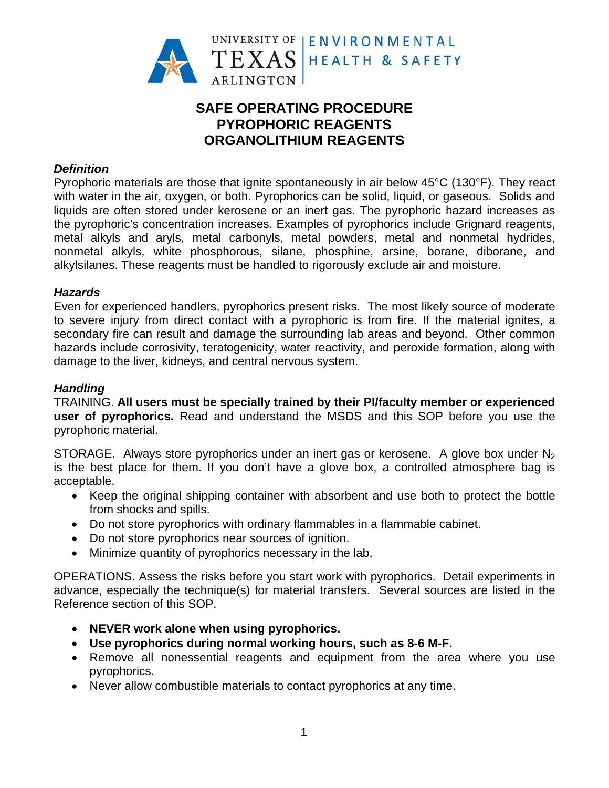

# **SAFE OPERATING PROCEDURE PYROPHORIC REAGENTS ORGANOLITHIUM REAGENTS**

## **Definition**

Pyrophoric materials are those that ignite spontaneously in air below 45°C (130°F). They react with water in the air, oxygen, or both. Pyrophorics can be solid, liquid, or gaseous. Solids and liquids are often stored under kerosene or an inert gas. The pyrophoric hazard increases as the pyrophoric's concentration increases. Examples of pyrophorics include Grignard reagents, metal alkyls and aryls, metal carbonyls, metal powders, metal and nonmetal hydrides, nonmetal alkyls, white phosphorous, silane, phosphine, arsine, borane, diborane, and alkylsilanes. These reagents must be handled to rigorously exclude air and moisture.

## **Hazards**

Even for experienced handlers, pyrophorics present risks. The most likely source of moderate to severe injury from direct contact with a pyrophoric is from fire. If the material ignites, a secondary fire can result and damage the surrounding lab areas and beyond. Other common hazards include corrosivity, teratogenicity, water reactivity, and peroxide formation, along with damage to the liver, kidneys, and central nervous system.

## **Handling**

TRAINING. All users must be specially trained by their Pl/faculty member or experienced user of pyrophorics. Read and understand the MSDS and this SOP before you use the pyrophoric material.

STORAGE. Always store pyrophorics under an inert gas or kerosene. A glove box under  $N_2$ is the best place for them. If you don't have a glove box, a controlled atmosphere bag is acceptable.

- Keep the original shipping container with absorbent and use both to protect the bottle from shocks and spills.
- Do not store pyrophorics with ordinary flammables in a flammable cabinet.
- Do not store pyrophorics near sources of ignition.
- Minimize quantity of pyrophorics necessary in the lab.

OPERATIONS. Assess the risks before you start work with pyrophorics. Detail experiments in advance, especially the technique(s) for material transfers. Several sources are listed in the Reference section of this SOP.

- NEVER work alone when using pyrophorics.
- Use pyrophorics during normal working hours, such as 8-6 M-F.
- Remove all nonessential reagents and equipment from the area where you use pyrophorics.
- Never allow combustible materials to contact pyrophorics at any time.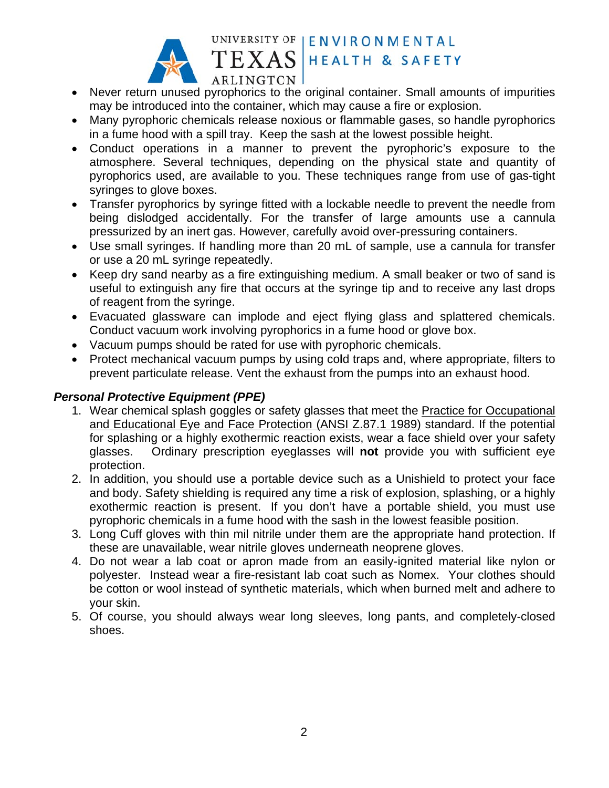

#### UNIVERSITY OF | ENVIRONMENTAL TEXAS HEALTH & SAFETY

- ARLINGTON • Never return unused pyrophorics to the original container. Small amounts of impurities may be introduced into the container, which may cause a fire or explosion.
- Many pyrophoric chemicals release noxious or flammable gases, so handle pyrophorics in a fume hood with a spill tray. Keep the sash at the lowest possible height.
- Conduct operations in a manner to prevent the pyrophoric's exposure to the atmosphere. Several techniques, depending on the physical state and quantity of pyrophorics used, are available to you. These techniques range from use of gas-tight syringes to glove boxes.
- Transfer pyrophorics by syringe fitted with a lockable needle to prevent the needle from being dislodged accidentally. For the transfer of large amounts use a cannula pressurized by an inert gas. However, carefully avoid over-pressuring containers.
- Use small syringes. If handling more than 20 mL of sample, use a cannula for transfer or use a 20 mL syringe repeatedly.
- Keep dry sand nearby as a fire extinguishing medium. A small beaker or two of sand is useful to extinguish any fire that occurs at the syringe tip and to receive any last drops of reagent from the syringe.
- Evacuated glassware can implode and eject flying glass and splattered chemicals. Conduct vacuum work involving pyrophorics in a fume hood or glove box.
- Vacuum pumps should be rated for use with pyrophoric chemicals.
- Protect mechanical vacuum pumps by using cold traps and, where appropriate, filters to prevent particulate release. Vent the exhaust from the pumps into an exhaust hood.

## *P Personal P Protective E Equipment t (PPE)*

- 1. Wear chemical splash goggles or safety glasses that meet the **Practice for Occupational** and Educational Eye and Face Protection (ANSI Z.87.1 1989) standard. If the potential for splashing or a highly exothermic reaction exists, wear a face shield over your safety glass ses. Ord protection. dinary prescription eyeglasses will not provide you with sufficient eye
- 2. In addition, you should use a portable device such as a Unishield to protect your face and body. Safety shielding is required any time a risk of explosion, splashing, or a highly exothermic reaction is present. If you don't have a portable shield, you must use pyrophoric chemicals in a fume hood with the sash in the lowest feasible position.
- 3. Long Cuff gloves with thin mil nitrile under them are the appropriate hand protection. If these are unavailable, wear nitrile gloves underneath neoprene gloves.
- 4. Do not wear a lab coat or apron made from an easily-ignited material like nylon or polyester. Instead wear a fire-resistant lab coat such as Nomex. Your clothes should be cotton or wool instead of synthetic materials, which when burned melt and adhere to your skin.
- 5. Of course, you should always wear long sleeves, long pants, and completely-closed shoe es.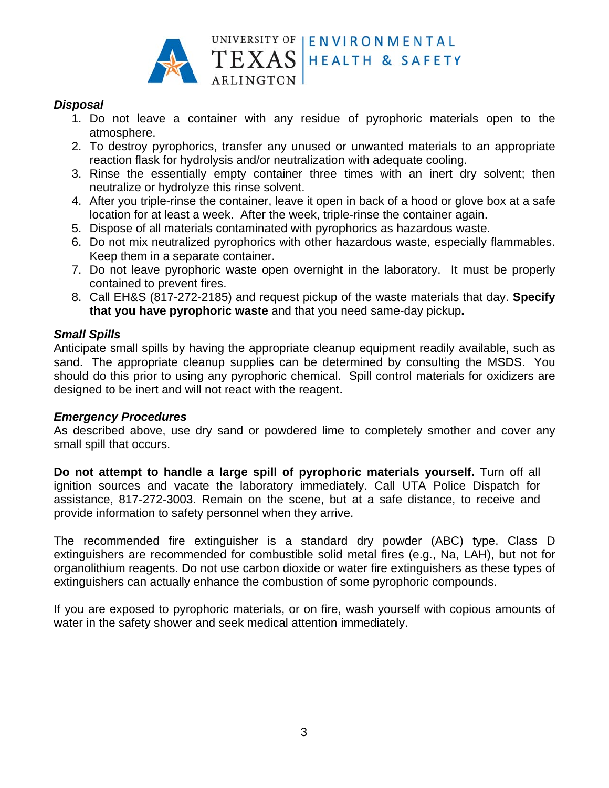

## **Disposal**

- 1. Do not leave a container with any residue of pyrophoric materials open to the atmosphere.
- 2. To destroy pyrophorics, transfer any unused or unwanted materials to an appropriate reaction flask for hydrolysis and/or neutralization with adequate cooling.
- 3. Rinse the essentially empty container three times with an inert dry solvent; then neutralize or hydrolyze this rinse solvent.
- 4. After you triple-rinse the container, leave it open in back of a hood or glove box at a safe location for at least a week. After the week, triple-rinse the container again.
- 5. Dispose of all materials contaminated with pyrophorics as hazardous waste.
- 6. Do not mix neutralized pyrophorics with other hazardous waste, especially flammables. Keep them in a separate container.
- 7. Do not leave pyrophoric waste open overnight in the laboratory. It must be properly contained to prevent fires.
- 8. Call EH&S (817-272-2185) and request pickup of the waste materials that day. Specify that you have pyrophoric waste and that you need same-day pickup.

## **Small Spills**

Anticipate small spills by having the appropriate cleanup equipment readily available, such as sand. The appropriate cleanup supplies can be determined by consulting the MSDS. You should do this prior to using any pyrophoric chemical. Spill control materials for oxidizers are designed to be inert and will not react with the reagent.

#### **Emergency Procedures**

As described above, use dry sand or powdered lime to completely smother and cover any small spill that occurs.

Do not attempt to handle a large spill of pyrophoric materials yourself. Turn off all ignition sources and vacate the laboratory immediately. Call UTA Police Dispatch for assistance, 817-272-3003. Remain on the scene, but at a safe distance, to receive and provide information to safety personnel when they arrive.

The recommended fire extinguisher is a standard dry powder (ABC) type. Class D extinguishers are recommended for combustible solid metal fires (e.g., Na, LAH), but not for organolithium reagents. Do not use carbon dioxide or water fire extinguishers as these types of extinguishers can actually enhance the combustion of some pyrophoric compounds.

If you are exposed to pyrophoric materials, or on fire, wash yourself with copious amounts of water in the safety shower and seek medical attention immediately.